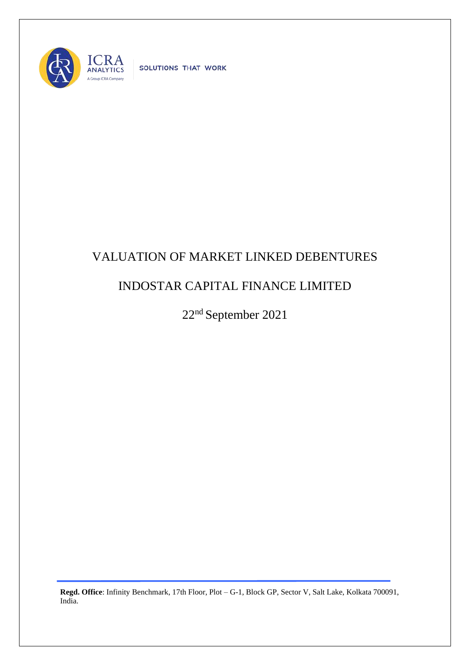

SOLUTIONS THAT WORK

## VALUATION OF MARKET LINKED DEBENTURES

## INDOSTAR CAPITAL FINANCE LIMITED

22nd September 2021

**Regd. Office**: Infinity Benchmark, 17th Floor, Plot – G-1, Block GP, Sector V, Salt Lake, Kolkata 700091, India.